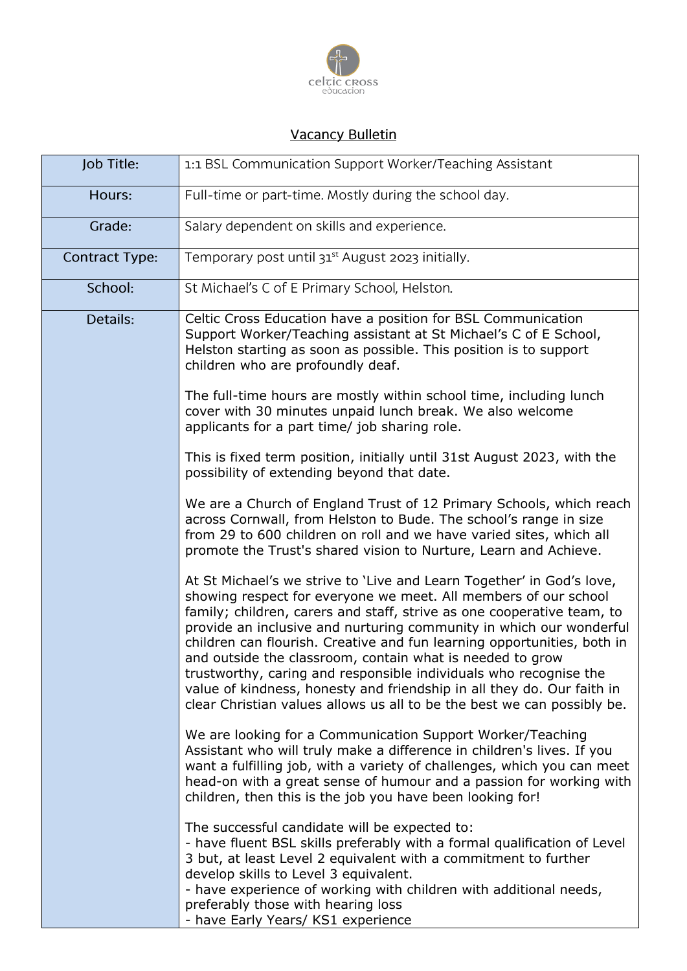

## **Vacancy Bulletin**

| Job Title:            | 1:1 BSL Communication Support Worker/Teaching Assistant                                                                                                                                                                                                                                                                                                                                                                                                                                                                                                                                                                                                     |
|-----------------------|-------------------------------------------------------------------------------------------------------------------------------------------------------------------------------------------------------------------------------------------------------------------------------------------------------------------------------------------------------------------------------------------------------------------------------------------------------------------------------------------------------------------------------------------------------------------------------------------------------------------------------------------------------------|
| Hours:                | Full-time or part-time. Mostly during the school day.                                                                                                                                                                                                                                                                                                                                                                                                                                                                                                                                                                                                       |
| Grade:                | Salary dependent on skills and experience.                                                                                                                                                                                                                                                                                                                                                                                                                                                                                                                                                                                                                  |
| <b>Contract Type:</b> | Temporary post until 31 <sup>st</sup> August 2023 initially.                                                                                                                                                                                                                                                                                                                                                                                                                                                                                                                                                                                                |
| School:               | St Michael's C of E Primary School, Helston.                                                                                                                                                                                                                                                                                                                                                                                                                                                                                                                                                                                                                |
| Details:              | Celtic Cross Education have a position for BSL Communication<br>Support Worker/Teaching assistant at St Michael's C of E School,<br>Helston starting as soon as possible. This position is to support<br>children who are profoundly deaf.                                                                                                                                                                                                                                                                                                                                                                                                                  |
|                       | The full-time hours are mostly within school time, including lunch<br>cover with 30 minutes unpaid lunch break. We also welcome<br>applicants for a part time/ job sharing role.                                                                                                                                                                                                                                                                                                                                                                                                                                                                            |
|                       | This is fixed term position, initially until 31st August 2023, with the<br>possibility of extending beyond that date.                                                                                                                                                                                                                                                                                                                                                                                                                                                                                                                                       |
|                       | We are a Church of England Trust of 12 Primary Schools, which reach<br>across Cornwall, from Helston to Bude. The school's range in size<br>from 29 to 600 children on roll and we have varied sites, which all<br>promote the Trust's shared vision to Nurture, Learn and Achieve.                                                                                                                                                                                                                                                                                                                                                                         |
|                       | At St Michael's we strive to 'Live and Learn Together' in God's love,<br>showing respect for everyone we meet. All members of our school<br>family; children, carers and staff, strive as one cooperative team, to<br>provide an inclusive and nurturing community in which our wonderful<br>children can flourish. Creative and fun learning opportunities, both in<br>and outside the classroom, contain what is needed to grow<br>trustworthy, caring and responsible individuals who recognise the<br>value of kindness, honesty and friendship in all they do. Our faith in<br>clear Christian values allows us all to be the best we can possibly be. |
|                       | We are looking for a Communication Support Worker/Teaching<br>Assistant who will truly make a difference in children's lives. If you<br>want a fulfilling job, with a variety of challenges, which you can meet<br>head-on with a great sense of humour and a passion for working with<br>children, then this is the job you have been looking for!                                                                                                                                                                                                                                                                                                         |
|                       | The successful candidate will be expected to:<br>- have fluent BSL skills preferably with a formal qualification of Level<br>3 but, at least Level 2 equivalent with a commitment to further<br>develop skills to Level 3 equivalent.<br>- have experience of working with children with additional needs,<br>preferably those with hearing loss<br>- have Early Years/ KS1 experience                                                                                                                                                                                                                                                                      |